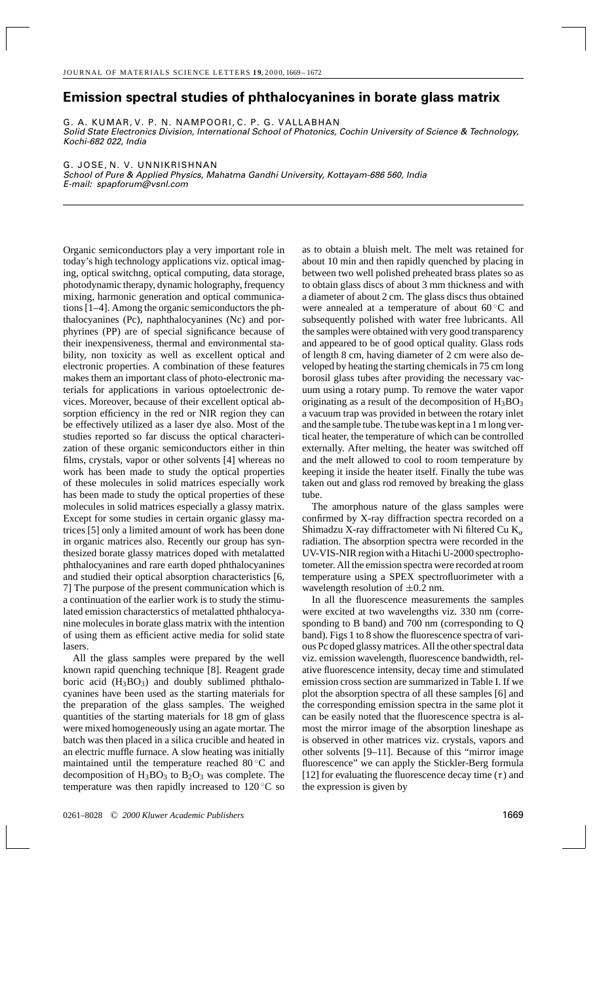## **Emission spectral studies of phthalocyanines in borate glass matrix**

G. A. KUMAR, V. P. N. NAMPOORI, C. P. G. VALLABHAN Solid State Electronics Division, International School of Photonics, Cochin University of Science & Technology, Kochi-682 022, India

G. JOSE, N. V. UNNIKRISHNAN School of Pure & Applied Physics, Mahatma Gandhi University, Kottayam-686 560, India E-mail: spapforum@vsnl.com

Organic semiconductors play a very important role in today's high technology applications viz. optical imaging, optical switchng, optical computing, data storage, photodynamic therapy, dynamic holography, frequency mixing, harmonic generation and optical communications [1–4]. Among the organic semiconductors the phthalocyanines (Pc), naphthalocyanines (Nc) and porphyrines (PP) are of special significance because of their inexpensiveness, thermal and environmental stability, non toxicity as well as excellent optical and electronic properties. A combination of these features makes them an important class of photo-electronic materials for applications in various optoelectronic devices. Moreover, because of their excellent optical absorption efficiency in the red or NIR region they can be effectively utilized as a laser dye also. Most of the studies reported so far discuss the optical characterization of these organic semiconductors either in thin films, crystals, vapor or other solvents [4] whereas no work has been made to study the optical properties of these molecules in solid matrices especially work has been made to study the optical properties of these molecules in solid matrices especially a glassy matrix. Except for some studies in certain organic glassy matrices [5] only a limited amount of work has been done in organic matrices also. Recently our group has synthesized borate glassy matrices doped with metalatted phthalocyanines and rare earth doped phthalocyanines and studied their optical absorption characteristics [6, 7] The purpose of the present communication which is a continuation of the earlier work is to study the stimulated emission characterstics of metalatted phthalocyanine molecules in borate glass matrix with the intention of using them as efficient active media for solid state lasers.

All the glass samples were prepared by the well known rapid quenching technique [8]. Reagent grade boric acid  $(H_3BO_3)$  and doubly sublimed phthalocyanines have been used as the starting materials for the preparation of the glass samples. The weighed quantities of the starting materials for 18 gm of glass were mixed homogeneously using an agate mortar. The batch was then placed in a silica crucible and heated in an electric muffle furnace. A slow heating was initially maintained until the temperature reached 80 ◦C and decomposition of  $H_3BO_3$  to  $B_2O_3$  was complete. The temperature was then rapidly increased to 120 ◦C so as to obtain a bluish melt. The melt was retained for about 10 min and then rapidly quenched by placing in between two well polished preheated brass plates so as to obtain glass discs of about 3 mm thickness and with a diameter of about 2 cm. The glass discs thus obtained were annealed at a temperature of about 60 ◦C and subsequently polished with water free lubricants. All the samples were obtained with very good transparency and appeared to be of good optical quality. Glass rods of length 8 cm, having diameter of 2 cm were also developed by heating the starting chemicals in 75 cm long borosil glass tubes after providing the necessary vacuum using a rotary pump. To remove the water vapor originating as a result of the decomposition of  $H_3BO_3$ a vacuum trap was provided in between the rotary inlet and the sample tube. The tube was kept in a 1 m long vertical heater, the temperature of which can be controlled externally. After melting, the heater was switched off and the melt allowed to cool to room temperature by keeping it inside the heater itself. Finally the tube was taken out and glass rod removed by breaking the glass tube.

The amorphous nature of the glass samples were confirmed by X-ray diffraction spectra recorded on a Shimadzu X-ray diffractometer with Ni filtered Cu  $K_{\alpha}$ radiation. The absorption spectra were recorded in the UV-VIS-NIR region with a Hitachi U-2000 spectrophotometer. All the emission spectra were recorded at room temperature using a SPEX spectrofluorimeter with a wavelength resolution of  $\pm 0.2$  nm.

In all the fluorescence measurements the samples were excited at two wavelengths viz. 330 nm (corresponding to B band) and 700 nm (corresponding to Q band). Figs 1 to 8 show the fluorescence spectra of various Pc doped glassy matrices. All the other spectral data viz. emission wavelength, fluorescence bandwidth, relative fluorescence intensity, decay time and stimulated emission cross section are summarized in Table I. If we plot the absorption spectra of all these samples [6] and the corresponding emission spectra in the same plot it can be easily noted that the fluorescence spectra is almost the mirror image of the absorption lineshape as is observed in other matrices viz. crystals, vapors and other solvents [9–11]. Because of this "mirror image fluorescence" we can apply the Stickler-Berg formula [12] for evaluating the fluorescence decay time  $(\tau)$  and the expression is given by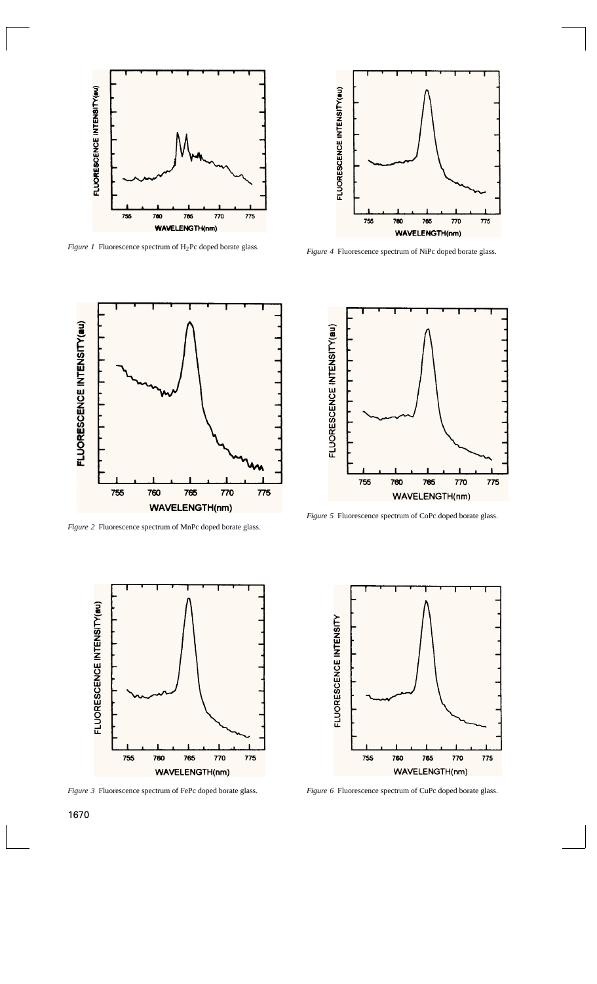

*Figure 1* Fluorescence spectrum of H2Pc doped borate glass.



*Figure 4* Fluorescence spectrum of NiPc doped borate glass.



*Figure 2* Fluorescence spectrum of MnPc doped borate glass.



*Figure 5* Fluorescence spectrum of CoPc doped borate glass.



*Figure 3* Fluorescence spectrum of FePc doped borate glass.



*Figure 6* Fluorescence spectrum of CuPc doped borate glass.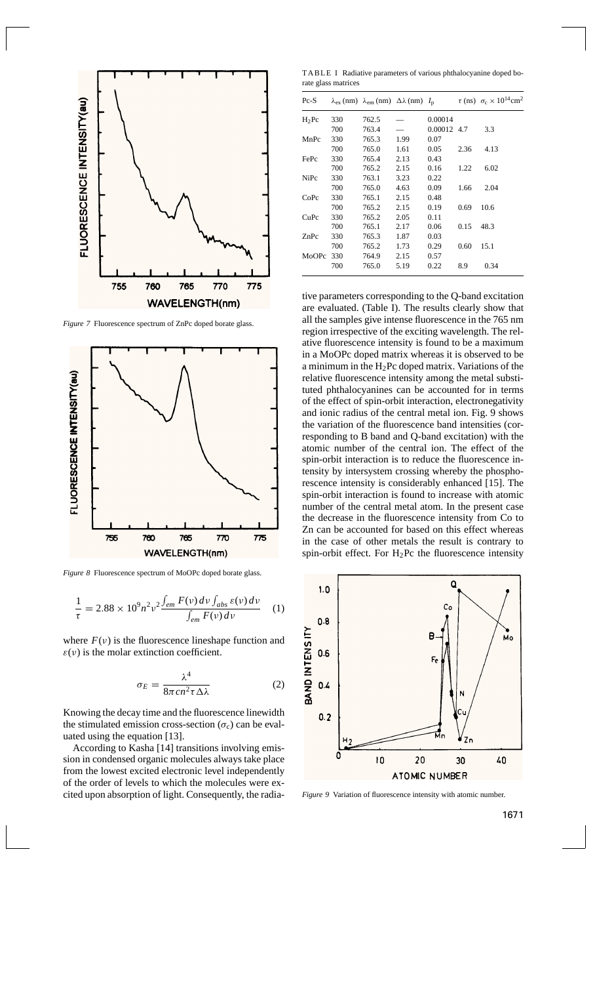

*Figure 7* Fluorescence spectrum of ZnPc doped borate glass.



*Figure 8* Fluorescence spectrum of MoOPc doped borate glass.

$$
\frac{1}{\tau} = 2.88 \times 10^9 n^2 \nu^2 \frac{\int_{em} F(v) \, dv \int_{abs} \varepsilon(v) \, dv}{\int_{em} F(v) \, dv} \tag{1}
$$

where  $F(v)$  is the fluorescence lineshape function and  $\varepsilon(\nu)$  is the molar extinction coefficient.

$$
\sigma_E = \frac{\lambda^4}{8\pi c n^2 \tau \Delta \lambda} \tag{2}
$$

Knowing the decay time and the fluorescence linewidth the stimulated emission cross-section  $(\sigma_c)$  can be evaluated using the equation [13].

According to Kasha [14] transitions involving emission in condensed organic molecules always take place from the lowest excited electronic level independently of the order of levels to which the molecules were excited upon absorption of light. Consequently, the radia-

TABLE I Radiative parameters of various phthalocyanine doped borate glass matrices

| $Pc-S$  |     | $\lambda_{\rm ex}$ (nm) $\lambda_{\rm em}$ (nm) $\Delta\lambda$ (nm) $I_{\rm p}$ |      |             |      | $\tau$ (ns) $\sigma_c \times 10^{14}$ cm <sup>2</sup> |
|---------|-----|----------------------------------------------------------------------------------|------|-------------|------|-------------------------------------------------------|
| $H_2Pc$ | 330 | 762.5                                                                            |      | 0.00014     |      |                                                       |
|         | 700 | 763.4                                                                            |      | 0.00012 4.7 |      | 3.3                                                   |
| MnPc    | 330 | 765.3                                                                            | 1.99 | 0.07        |      |                                                       |
|         | 700 | 765.0                                                                            | 1.61 | 0.05        | 2.36 | 4.13                                                  |
| FePc    | 330 | 765.4                                                                            | 2.13 | 0.43        |      |                                                       |
|         | 700 | 765.2                                                                            | 2.15 | 0.16        | 1.22 | 6.02                                                  |
| NiPc    | 330 | 763.1                                                                            | 3.23 | 0.22        |      |                                                       |
|         | 700 | 765.0                                                                            | 4.63 | 0.09        | 1.66 | 2.04                                                  |
| CoPc    | 330 | 765.1                                                                            | 2.15 | 0.48        |      |                                                       |
|         | 700 | 765.2                                                                            | 2.15 | 0.19        | 0.69 | 10.6                                                  |
| CuPc    | 330 | 765.2                                                                            | 2.05 | 0.11        |      |                                                       |
|         | 700 | 765.1                                                                            | 2.17 | 0.06        | 0.15 | 48.3                                                  |
| ZnPc    | 330 | 765.3                                                                            | 1.87 | 0.03        |      |                                                       |
|         | 700 | 765.2                                                                            | 1.73 | 0.29        | 0.60 | 15.1                                                  |
| MoOPc   | 330 | 764.9                                                                            | 2.15 | 0.57        |      |                                                       |
|         | 700 | 765.0                                                                            | 5.19 | 0.22        | 8.9  | 0.34                                                  |

tive parameters corresponding to the Q-band excitation are evaluated. (Table I). The results clearly show that all the samples give intense fluorescence in the 765 nm region irrespective of the exciting wavelength. The relative fluorescence intensity is found to be a maximum in a MoOPc doped matrix whereas it is observed to be a minimum in the  $H_2$ Pc doped matrix. Variations of the relative fluorescence intensity among the metal substituted phthalocyanines can be accounted for in terms of the effect of spin-orbit interaction, electronegativity and ionic radius of the central metal ion. Fig. 9 shows the variation of the fluorescence band intensities (corresponding to B band and Q-band excitation) with the atomic number of the central ion. The effect of the spin-orbit interaction is to reduce the fluorescence intensity by intersystem crossing whereby the phosphorescence intensity is considerably enhanced [15]. The spin-orbit interaction is found to increase with atomic number of the central metal atom. In the present case the decrease in the fluorescence intensity from Co to Zn can be accounted for based on this effect whereas in the case of other metals the result is contrary to spin-orbit effect. For  $H_2$ Pc the fluorescence intensity



*Figure 9* Variation of fluorescence intensity with atomic number.